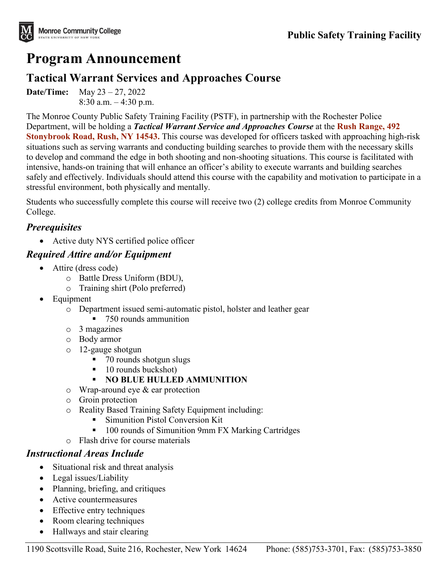

# **Program Announcement**

# **Tactical Warrant Services and Approaches Course**

**Date/Time:** May 23 – 27, 2022 8:30 a.m. – 4:30 p.m.

The Monroe County Public Safety Training Facility (PSTF), in partnership with the Rochester Police Department, will be holding a *Tactical Warrant Service and Approaches Course* at the **Rush Range, 492 Stonybrook Road, Rush, NY 14543.** This course was developed for officers tasked with approaching high-risk situations such as serving warrants and conducting building searches to provide them with the necessary skills to develop and command the edge in both shooting and non-shooting situations. This course is facilitated with intensive, hands-on training that will enhance an officer's ability to execute warrants and building searches safely and effectively. Individuals should attend this course with the capability and motivation to participate in a stressful environment, both physically and mentally.

Students who successfully complete this course will receive two (2) college credits from Monroe Community College.

#### *Prerequisites*

• Active duty NYS certified police officer

#### *Required Attire and/or Equipment*

- Attire (dress code)
	- o Battle Dress Uniform (BDU),
	- o Training shirt (Polo preferred)
- **Equipment** 
	- o Department issued semi-automatic pistol, holster and leather gear
		- 750 rounds ammunition
	- o 3 magazines
	- o Body armor
	- o 12-gauge shotgun
		- 70 rounds shotgun slugs
		- $\blacksquare$  10 rounds buckshot)
		- **NO BLUE HULLED AMMUNITION**
	- o Wrap-around eye & ear protection
	- o Groin protection
	- o Reality Based Training Safety Equipment including:
		- **Simunition Pistol Conversion Kit**
		- 100 rounds of Simunition 9mm FX Marking Cartridges
	- o Flash drive for course materials

#### *Instructional Areas Include*

- Situational risk and threat analysis
- Legal issues/Liability
- Planning, briefing, and critiques
- Active countermeasures
- Effective entry techniques
- Room clearing techniques
- Hallways and stair clearing